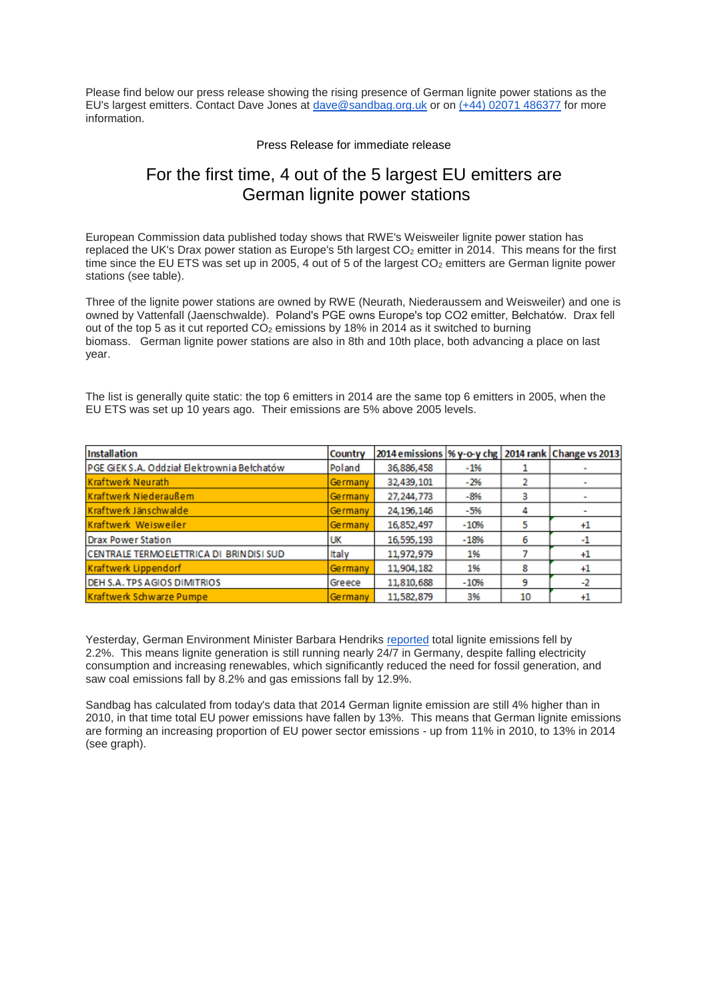Please find below our press release showing the rising presence of German lignite power stations as the EU's largest emitters. Contact Dave Jones at [dave@sandbag.org.uk](mailto:dave@sandbag.org.uk) or on [\(+44\) 02071 486377](tel:%28%2B44%29%2002071%20486377) for more information.

## Press Release for immediate release

## For the first time, 4 out of the 5 largest EU emitters are German lignite power stations

European Commission data published today shows that RWE's Weisweiler lignite power station has replaced the UK's Drax power station as Europe's 5th largest CO<sub>2</sub> emitter in 2014. This means for the first time since the EU ETS was set up in 2005, 4 out of 5 of the largest  $CO<sub>2</sub>$  emitters are German lignite power stations (see table).

Three of the lignite power stations are owned by RWE (Neurath, Niederaussem and Weisweiler) and one is owned by Vattenfall (Jaenschwalde). Poland's PGE owns Europe's top CO2 emitter, Bełchatów. Drax fell out of the top 5 as it cut reported  $CO<sub>2</sub>$  emissions by 18% in 2014 as it switched to burning biomass. German lignite power stations are also in 8th and 10th place, both advancing a place on last year.

The list is generally quite static: the top 6 emitters in 2014 are the same top 6 emitters in 2005, when the EU ETS was set up 10 years ago. Their emissions are 5% above 2005 levels.

| <b>Installation</b>                         | <b>Country</b> |              |        |    | 2014 emissions  % y-o-y chg   2014 rank   Change vs 2013 |
|---------------------------------------------|----------------|--------------|--------|----|----------------------------------------------------------|
| PGE GIEK S.A. Oddział Elektrownia Bełchatów | Poland         | 36,886,458   | $-1%$  |    |                                                          |
| <b>Kraftwerk Neurath</b>                    | Germany        | 32,439,101   | $-2%$  |    |                                                          |
| Kraftwerk Niederaußem                       | Germany        | 27, 244, 773 | $-8%$  | з  |                                                          |
| Kraftwerk Jänschwalde                       | Germany        | 24, 196, 146 | $-5%$  | 4  |                                                          |
| Kraftwerk Weisweiler                        | Germany        | 16,852,497   | $-10%$ |    | $+1$                                                     |
| <b>Drax Power Station</b>                   | luk            | 16,595,193   | $-18%$ | 6  | -1                                                       |
| CENTRALE TERMOELETTRICA DI BRINDISI SUD     | Italy          | 11,972,979   | 1%     |    | +1                                                       |
| Kraftwerk Lippendorf                        | Germany        | 11,904,182   | 1%     | 8  | $+1$                                                     |
| DEH S.A. TPS AGIOS DIMITRIOS                | Greece         | 11,810,688   | $-10%$ | 9  | -2                                                       |
| Kraftwerk Schwarze Pumpe                    | Germany        | 11,582,879   | 3%     | 10 | $^{+1}$                                                  |

Yesterday, German Environment Minister Barbara Hendriks [reported](http://www.umweltbundesamt.de/sites/default/files/medien/381/dokumente/pi_2015_31_03_uba-emissionsdaten_2014_zeigen_trendwende_beim_klimaschutz.pdf) total lignite emissions fell by 2.2%. This means lignite generation is still running nearly 24/7 in Germany, despite falling electricity consumption and increasing renewables, which significantly reduced the need for fossil generation, and saw coal emissions fall by 8.2% and gas emissions fall by 12.9%.

Sandbag has calculated from today's data that 2014 German lignite emission are still 4% higher than in 2010, in that time total EU power emissions have fallen by 13%. This means that German lignite emissions are forming an increasing proportion of EU power sector emissions - up from 11% in 2010, to 13% in 2014 (see graph).